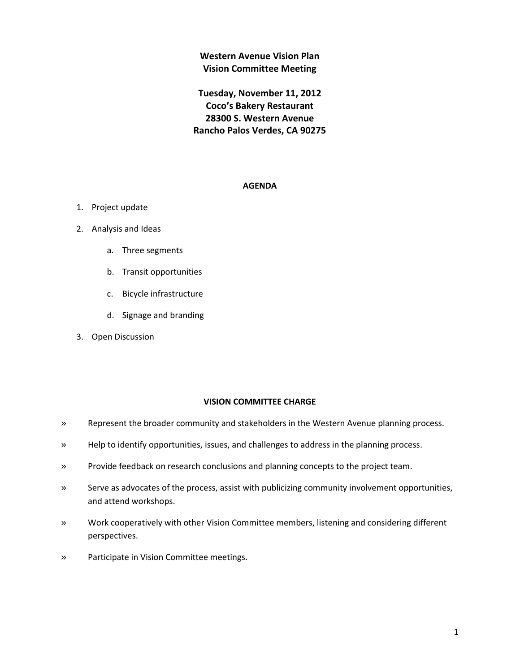**Western Avenue Vision Plan Vision Committee Meeting**

**Tuesday, November 11, 2012 Coco's Bakery Restaurant 28300 S. Western Avenue Rancho Palos Verdes, CA 90275**

## **AGENDA**

- 1. Project update
- 2. Analysis and Ideas
	- a. Three segments
	- b. Transit opportunities
	- c. Bicycle infrastructure
	- d. Signage and branding
- 3. Open Discussion

#### **VISION COMMITTEE CHARGE**

- » Represent the broader community and stakeholders in the Western Avenue planning process.
- » Help to identify opportunities, issues, and challenges to address in the planning process.
- » Provide feedback on research conclusions and planning concepts to the project team.
- » Serve as advocates of the process, assist with publicizing community involvement opportunities, and attend workshops.
- » Work cooperatively with other Vision Committee members, listening and considering different perspectives.
- » Participate in Vision Committee meetings.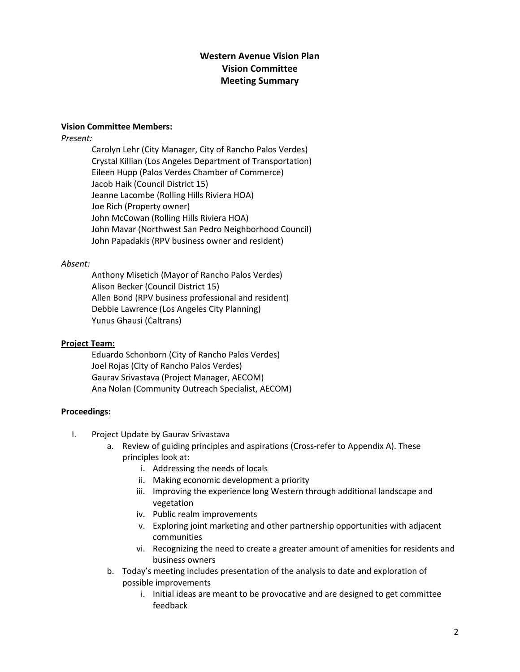# **Western Avenue Vision Plan Vision Committee Meeting Summary**

## **Vision Committee Members:**

# *Present:*

Carolyn Lehr (City Manager, City of Rancho Palos Verdes) Crystal Killian (Los Angeles Department of Transportation) Eileen Hupp (Palos Verdes Chamber of Commerce) Jacob Haik (Council District 15) Jeanne Lacombe (Rolling Hills Riviera HOA) Joe Rich (Property owner) John McCowan (Rolling Hills Riviera HOA) John Mavar (Northwest San Pedro Neighborhood Council) John Papadakis (RPV business owner and resident)

# *Absent:*

Anthony Misetich (Mayor of Rancho Palos Verdes) Alison Becker (Council District 15) Allen Bond (RPV business professional and resident) Debbie Lawrence (Los Angeles City Planning) Yunus Ghausi (Caltrans)

# **Project Team:**

Eduardo Schonborn (City of Rancho Palos Verdes) Joel Rojas (City of Rancho Palos Verdes) Gaurav Srivastava (Project Manager, AECOM) Ana Nolan (Community Outreach Specialist, AECOM)

# **Proceedings:**

- I. Project Update by Gaurav Srivastava
	- a. Review of guiding principles and aspirations (Cross-refer to Appendix A). These principles look at:
		- i. Addressing the needs of locals
		- ii. Making economic development a priority
		- iii. Improving the experience long Western through additional landscape and vegetation
		- iv. Public realm improvements
		- v. Exploring joint marketing and other partnership opportunities with adjacent communities
		- vi. Recognizing the need to create a greater amount of amenities for residents and business owners
	- b. Today's meeting includes presentation of the analysis to date and exploration of possible improvements
		- i. Initial ideas are meant to be provocative and are designed to get committee feedback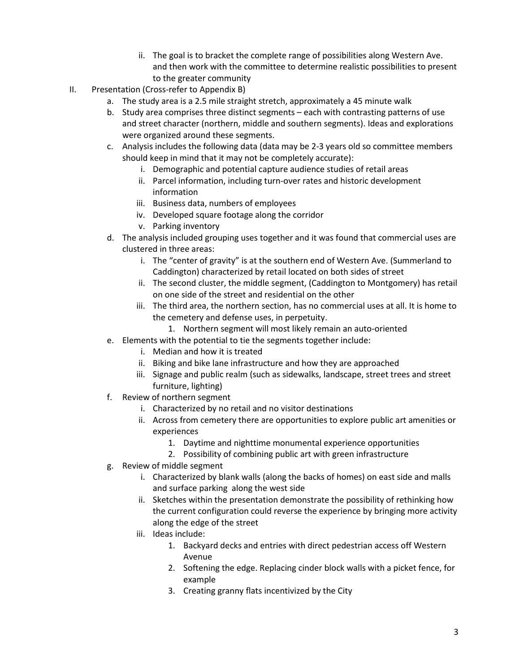- ii. The goal is to bracket the complete range of possibilities along Western Ave. and then work with the committee to determine realistic possibilities to present to the greater community
- II. Presentation (Cross-refer to Appendix B)
	- a. The study area is a 2.5 mile straight stretch, approximately a 45 minute walk
	- b. Study area comprises three distinct segments each with contrasting patterns of use and street character (northern, middle and southern segments). Ideas and explorations were organized around these segments.
	- c. Analysis includes the following data (data may be 2-3 years old so committee members should keep in mind that it may not be completely accurate):
		- i. Demographic and potential capture audience studies of retail areas
		- ii. Parcel information, including turn-over rates and historic development information
		- iii. Business data, numbers of employees
		- iv. Developed square footage along the corridor
		- v. Parking inventory
	- d. The analysis included grouping uses together and it was found that commercial uses are clustered in three areas:
		- i. The "center of gravity" is at the southern end of Western Ave. (Summerland to Caddington) characterized by retail located on both sides of street
		- ii. The second cluster, the middle segment, (Caddington to Montgomery) has retail on one side of the street and residential on the other
		- iii. The third area, the northern section, has no commercial uses at all. It is home to the cemetery and defense uses, in perpetuity.
			- 1. Northern segment will most likely remain an auto-oriented
	- e. Elements with the potential to tie the segments together include:
		- i. Median and how it is treated
		- ii. Biking and bike lane infrastructure and how they are approached
		- iii. Signage and public realm (such as sidewalks, landscape, street trees and street furniture, lighting)
	- f. Review of northern segment
		- i. Characterized by no retail and no visitor destinations
		- ii. Across from cemetery there are opportunities to explore public art amenities or experiences
			- 1. Daytime and nighttime monumental experience opportunities
			- 2. Possibility of combining public art with green infrastructure
	- g. Review of middle segment
		- i. Characterized by blank walls (along the backs of homes) on east side and malls and surface parking along the west side
		- ii. Sketches within the presentation demonstrate the possibility of rethinking how the current configuration could reverse the experience by bringing more activity along the edge of the street
		- iii. Ideas include:
			- 1. Backyard decks and entries with direct pedestrian access off Western Avenue
			- 2. Softening the edge. Replacing cinder block walls with a picket fence, for example
			- 3. Creating granny flats incentivized by the City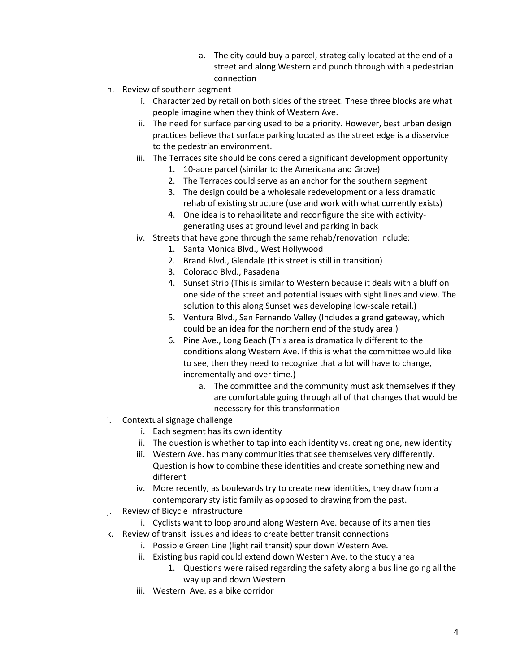- a. The city could buy a parcel, strategically located at the end of a street and along Western and punch through with a pedestrian connection
- h. Review of southern segment
	- i. Characterized by retail on both sides of the street. These three blocks are what people imagine when they think of Western Ave.
	- ii. The need for surface parking used to be a priority. However, best urban design practices believe that surface parking located as the street edge is a disservice to the pedestrian environment.
	- iii. The Terraces site should be considered a significant development opportunity
		- 1. 10-acre parcel (similar to the Americana and Grove)
		- 2. The Terraces could serve as an anchor for the southern segment
		- 3. The design could be a wholesale redevelopment or a less dramatic rehab of existing structure (use and work with what currently exists)
		- 4. One idea is to rehabilitate and reconfigure the site with activitygenerating uses at ground level and parking in back
	- iv. Streets that have gone through the same rehab/renovation include:
		- 1. Santa Monica Blvd., West Hollywood
		- 2. Brand Blvd., Glendale (this street is still in transition)
		- 3. Colorado Blvd., Pasadena
		- 4. Sunset Strip (This is similar to Western because it deals with a bluff on one side of the street and potential issues with sight lines and view. The solution to this along Sunset was developing low-scale retail.)
		- 5. Ventura Blvd., San Fernando Valley (Includes a grand gateway, which could be an idea for the northern end of the study area.)
		- 6. Pine Ave., Long Beach (This area is dramatically different to the conditions along Western Ave. If this is what the committee would like to see, then they need to recognize that a lot will have to change, incrementally and over time.)
			- a. The committee and the community must ask themselves if they are comfortable going through all of that changes that would be necessary for this transformation
- i. Contextual signage challenge
	- i. Each segment has its own identity
	- ii. The question is whether to tap into each identity vs. creating one, new identity
	- iii. Western Ave. has many communities that see themselves very differently. Question is how to combine these identities and create something new and different
	- iv. More recently, as boulevards try to create new identities, they draw from a contemporary stylistic family as opposed to drawing from the past.
- j. Review of Bicycle Infrastructure
	- i. Cyclists want to loop around along Western Ave. because of its amenities
- k. Review of transit issues and ideas to create better transit connections
	- i. Possible Green Line (light rail transit) spur down Western Ave.
	- ii. Existing bus rapid could extend down Western Ave. to the study area
		- 1. Questions were raised regarding the safety along a bus line going all the way up and down Western
	- iii. Western Ave. as a bike corridor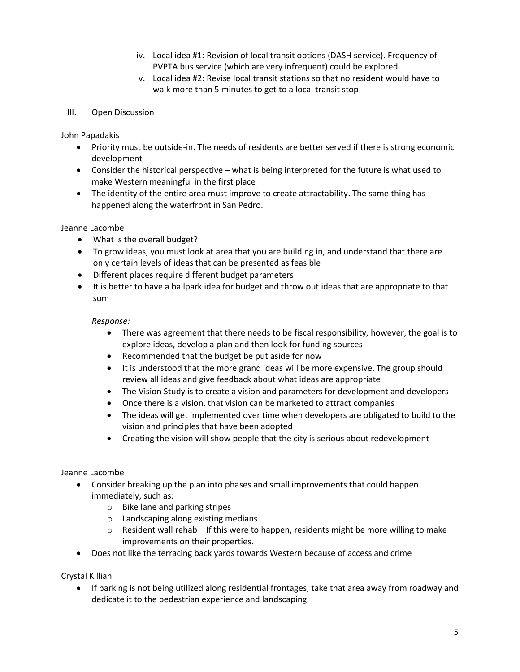- iv. Local idea #1: Revision of local transit options (DASH service). Frequency of PVPTA bus service (which are very infrequent) could be explored
- v. Local idea #2: Revise local transit stations so that no resident would have to walk more than 5 minutes to get to a local transit stop

# III. Open Discussion

John Papadakis

- Priority must be outside-in. The needs of residents are better served if there is strong economic development
- Consider the historical perspective what is being interpreted for the future is what used to make Western meaningful in the first place
- The identity of the entire area must improve to create attractability. The same thing has happened along the waterfront in San Pedro.

Jeanne Lacombe

- What is the overall budget?
- To grow ideas, you must look at area that you are building in, and understand that there are only certain levels of ideas that can be presented as feasible
- Different places require different budget parameters
- It is better to have a ballpark idea for budget and throw out ideas that are appropriate to that sum

#### *Response:*

- There was agreement that there needs to be fiscal responsibility, however, the goal is to explore ideas, develop a plan and then look for funding sources
- Recommended that the budget be put aside for now
- It is understood that the more grand ideas will be more expensive. The group should review all ideas and give feedback about what ideas are appropriate
- The Vision Study is to create a vision and parameters for development and developers
- Once there is a vision, that vision can be marketed to attract companies
- The ideas will get implemented over time when developers are obligated to build to the vision and principles that have been adopted
- Creating the vision will show people that the city is serious about redevelopment

## Jeanne Lacombe

- Consider breaking up the plan into phases and small improvements that could happen immediately, such as:
	- o Bike lane and parking stripes
	- o Landscaping along existing medians
	- $\circ$  Resident wall rehab If this were to happen, residents might be more willing to make improvements on their properties.
- Does not like the terracing back yards towards Western because of access and crime

Crystal Killian

 If parking is not being utilized along residential frontages, take that area away from roadway and dedicate it to the pedestrian experience and landscaping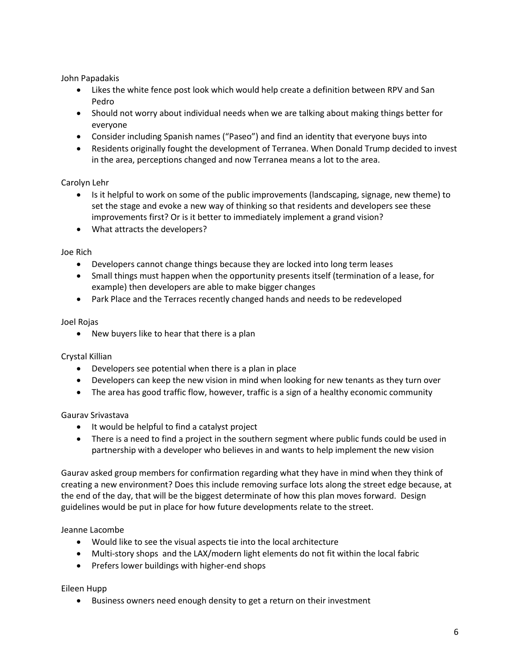John Papadakis

- Likes the white fence post look which would help create a definition between RPV and San Pedro
- Should not worry about individual needs when we are talking about making things better for everyone
- Consider including Spanish names ("Paseo") and find an identity that everyone buys into
- Residents originally fought the development of Terranea. When Donald Trump decided to invest in the area, perceptions changed and now Terranea means a lot to the area.

# Carolyn Lehr

- Is it helpful to work on some of the public improvements (landscaping, signage, new theme) to set the stage and evoke a new way of thinking so that residents and developers see these improvements first? Or is it better to immediately implement a grand vision?
- What attracts the developers?

Joe Rich

- Developers cannot change things because they are locked into long term leases
- Small things must happen when the opportunity presents itself (termination of a lease, for example) then developers are able to make bigger changes
- Park Place and the Terraces recently changed hands and needs to be redeveloped

## Joel Rojas

• New buyers like to hear that there is a plan

## Crystal Killian

- Developers see potential when there is a plan in place
- Developers can keep the new vision in mind when looking for new tenants as they turn over
- The area has good traffic flow, however, traffic is a sign of a healthy economic community

## Gaurav Srivastava

- It would be helpful to find a catalyst project
- There is a need to find a project in the southern segment where public funds could be used in partnership with a developer who believes in and wants to help implement the new vision

Gaurav asked group members for confirmation regarding what they have in mind when they think of creating a new environment? Does this include removing surface lots along the street edge because, at the end of the day, that will be the biggest determinate of how this plan moves forward. Design guidelines would be put in place for how future developments relate to the street.

Jeanne Lacombe

- Would like to see the visual aspects tie into the local architecture
- Multi-story shops and the LAX/modern light elements do not fit within the local fabric
- Prefers lower buildings with higher-end shops

Eileen Hupp

Business owners need enough density to get a return on their investment